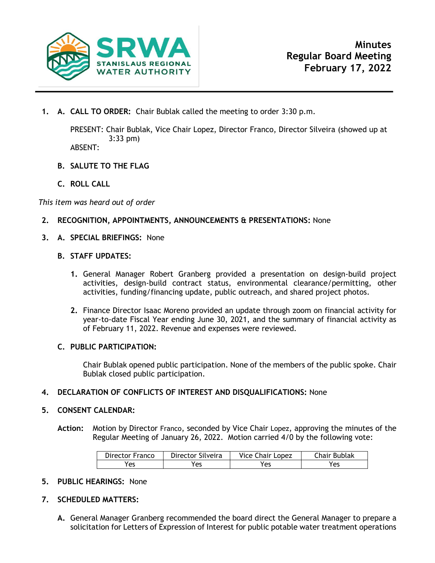

**1. A. CALL TO ORDER:** Chair Bublak called the meeting to order 3:30 p.m.

PRESENT: Chair Bublak, Vice Chair Lopez, Director Franco, Director Silveira (showed up at 3:33 pm)

ABSENT:

- **B. SALUTE TO THE FLAG**
- **C. ROLL CALL**

*This item was heard out of order*

- **2. RECOGNITION, APPOINTMENTS, ANNOUNCEMENTS & PRESENTATIONS:** None
- **3. A. SPECIAL BRIEFINGS:** None
	- **B. STAFF UPDATES:**
		- **1.** General Manager Robert Granberg provided a presentation on design-build project activities, design-build contract status, environmental clearance/permitting, other activities, funding/financing update, public outreach, and shared project photos.
		- **2.** Finance Director Isaac Moreno provided an update through zoom on financial activity for year-to-date Fiscal Year ending June 30, 2021, and the summary of financial activity as of February 11, 2022. Revenue and expenses were reviewed.

## **C. PUBLIC PARTICIPATION:**

Chair Bublak opened public participation. None of the members of the public spoke. Chair Bublak closed public participation.

**4. DECLARATION OF CONFLICTS OF INTEREST AND DISQUALIFICATIONS:** None

## **5. CONSENT CALENDAR:**

**Action:** Motion by Director Franco, seconded by Vice Chair Lopez, approving the minutes of the Regular Meeting of January 26, 2022. Motion carried 4/0 by the following vote:

| Director Franco | Director Silveira | <b>Vice Chair Lopez</b> | Chair Bublak |
|-----------------|-------------------|-------------------------|--------------|
| 'es             | 'es               | Yes                     | res          |

- **5. PUBLIC HEARINGS:** None
- **7. SCHEDULED MATTERS:**
	- **A.** General Manager Granberg recommended the board direct the General Manager to prepare a solicitation for Letters of Expression of Interest for public potable water treatment operations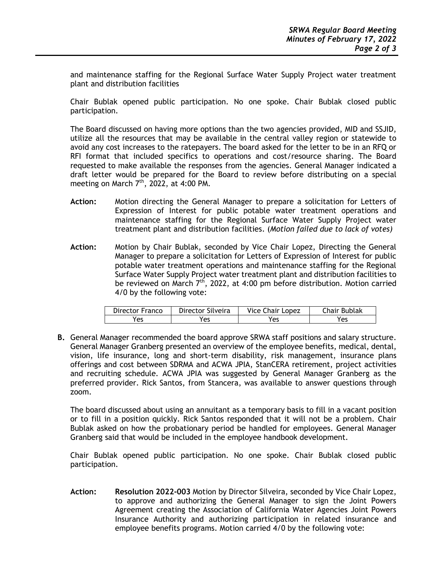and maintenance staffing for the Regional Surface Water Supply Project water treatment plant and distribution facilities

Chair Bublak opened public participation. No one spoke. Chair Bublak closed public participation.

The Board discussed on having more options than the two agencies provided, MID and SSJID, utilize all the resources that may be available in the central valley region or statewide to avoid any cost increases to the ratepayers. The board asked for the letter to be in an RFQ or RFI format that included specifics to operations and cost/resource sharing. The Board requested to make available the responses from the agencies. General Manager indicated a draft letter would be prepared for the Board to review before distributing on a special meeting on March  $7<sup>th</sup>$ , 2022, at 4:00 PM.

- **Action:** Motion directing the General Manager to prepare a solicitation for Letters of Expression of Interest for public potable water treatment operations and maintenance staffing for the Regional Surface Water Supply Project water treatment plant and distribution facilities. (*Motion failed due to lack of votes)*
- **Action:** Motion by Chair Bublak, seconded by Vice Chair Lopez, Directing the General Manager to prepare a solicitation for Letters of Expression of Interest for public potable water treatment operations and maintenance staffing for the Regional Surface Water Supply Project water treatment plant and distribution facilities to be reviewed on March  $7<sup>th</sup>$ , 2022, at 4:00 pm before distribution. Motion carried 4/0 by the following vote:

| Director Franco | Director Silveira | <b>Vice Chair Lopez</b> | Chair Bublak |
|-----------------|-------------------|-------------------------|--------------|
| 'es             | 'es               | Yes                     | Yes          |

**B.** General Manager recommended the board approve SRWA staff positions and salary structure. General Manager Granberg presented an overview of the employee benefits, medical, dental, vision, life insurance, long and short-term disability, risk management, insurance plans offerings and cost between SDRMA and ACWA JPIA, StanCERA retirement, project activities and recruiting schedule. ACWA JPIA was suggested by General Manager Granberg as the preferred provider. Rick Santos, from Stancera, was available to answer questions through zoom.

The board discussed about using an annuitant as a temporary basis to fill in a vacant position or to fill in a position quickly. Rick Santos responded that it will not be a problem. Chair Bublak asked on how the probationary period be handled for employees. General Manager Granberg said that would be included in the employee handbook development.

Chair Bublak opened public participation. No one spoke. Chair Bublak closed public participation.

**Action: Resolution 2022-003** Motion by Director Silveira, seconded by Vice Chair Lopez, to approve and authorizing the General Manager to sign the Joint Powers Agreement creating the Association of California Water Agencies Joint Powers Insurance Authority and authorizing participation in related insurance and employee benefits programs. Motion carried 4/0 by the following vote: